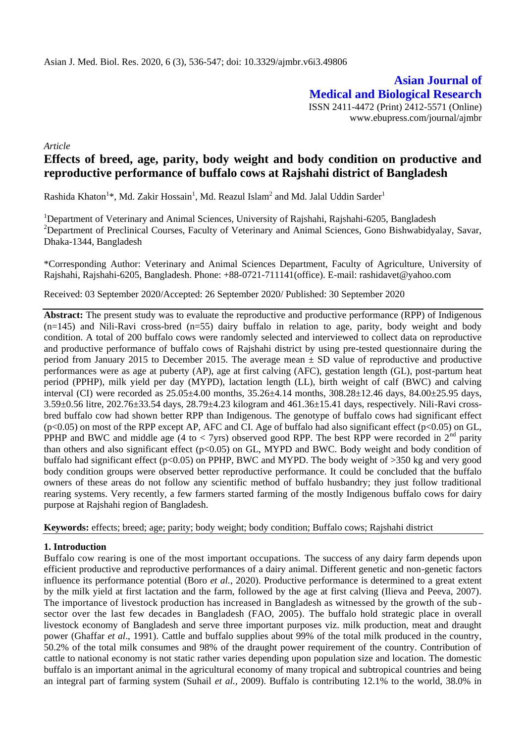**Asian Journal of Medical and Biological Research** ISSN 2411-4472 (Print) 2412-5571 (Online) www.ebupress.com/journal/ajmbr

*Article*

# **Effects of breed, age, parity, body weight and body condition on productive and reproductive performance of buffalo cows at Rajshahi district of Bangladesh**

Rashida Khaton<sup>1</sup>\*, Md. Zakir Hossain<sup>1</sup>, Md. Reazul Islam<sup>2</sup> and Md. Jalal Uddin Sarder<sup>1</sup>

<sup>1</sup>Department of Veterinary and Animal Sciences, University of Rajshahi, Rajshahi-6205, Bangladesh <sup>2</sup>Department of Preclinical Courses, Faculty of Veterinary and Animal Sciences, Gono Bishwabidyalay, Savar, Dhaka-1344, Bangladesh

\*Corresponding Author: Veterinary and Animal Sciences Department, Faculty of Agriculture, University of Rajshahi, Rajshahi-6205, Bangladesh. Phone: +88-0721-711141(office). E-mail: rashidavet@yahoo.com

Received: 03 September 2020/Accepted: 26 September 2020/ Published: 30 September 2020

**Abstract:** The present study was to evaluate the reproductive and productive performance (RPP) of Indigenous  $(n=145)$  and Nili-Ravi cross-bred  $(n=55)$  dairy buffalo in relation to age, parity, body weight and body condition. A total of 200 buffalo cows were randomly selected and interviewed to collect data on reproductive and productive performance of buffalo cows of Rajshahi district by using pre-tested questionnaire during the period from January 2015 to December 2015. The average mean  $\pm$  SD value of reproductive and productive performances were as age at puberty (AP), age at first calving (AFC), gestation length (GL), post-partum heat period (PPHP), milk yield per day (MYPD), lactation length (LL), birth weight of calf (BWC) and calving interval (CI) were recorded as 25.05±4.00 months, 35.26±4.14 months, 308.28±12.46 days, 84.00±25.95 days, 3.59±0.56 litre, 202.76±33.54 days, 28.79±4.23 kilogram and 461.36±15.41 days, respectively. Nili-Ravi crossbred buffalo cow had shown better RPP than Indigenous. The genotype of buffalo cows had significant effect (p<0.05) on most of the RPP except AP, AFC and CI. Age of buffalo had also significant effect (p<0.05) on GL, PPHP and BWC and middle age (4 to  $<$  7yrs) observed good RPP. The best RPP were recorded in  $2<sup>nd</sup>$  parity than others and also significant effect ( $p<0.05$ ) on GL, MYPD and BWC. Body weight and body condition of buffalo had significant effect ( $p<0.05$ ) on PPHP, BWC and MYPD. The body weight of  $>350$  kg and very good body condition groups were observed better reproductive performance. It could be concluded that the buffalo owners of these areas do not follow any scientific method of buffalo husbandry; they just follow traditional rearing systems. Very recently, a few farmers started farming of the mostly Indigenous buffalo cows for dairy purpose at Rajshahi region of Bangladesh.

**Keywords:** effects; breed; age; parity; body weight; body condition; Buffalo cows; Rajshahi district

### **1. Introduction**

Buffalo cow rearing is one of the most important occupations. The success of any dairy farm depends upon efficient productive and reproductive performances of a dairy animal. Different genetic and non-genetic factors influence its performance potential (Boro *et al.*, 2020). Productive performance is determined to a great extent by the milk yield at first lactation and the farm, followed by the age at first calving (Ilieva and Peeva, 2007). The importance of livestock production has increased in Bangladesh as witnessed by the growth of the sub sector over the last few decades in Bangladesh (FAO, 2005). The buffalo hold strategic place in overall livestock economy of Bangladesh and serve three important purposes viz. milk production, meat and draught power (Ghaffar *et al*., 1991). Cattle and buffalo supplies about 99% of the total milk produced in the country, 50.2% of the total milk consumes and 98% of the draught power requirement of the country. Contribution of cattle to national economy is not static rather varies depending upon population size and location. The domestic buffalo is an important animal in the agricultural economy of many tropical and subtropical countries and being an integral part of farming system (Suhail *et al.,* 2009). Buffalo is contributing 12.1% to the world, 38.0% in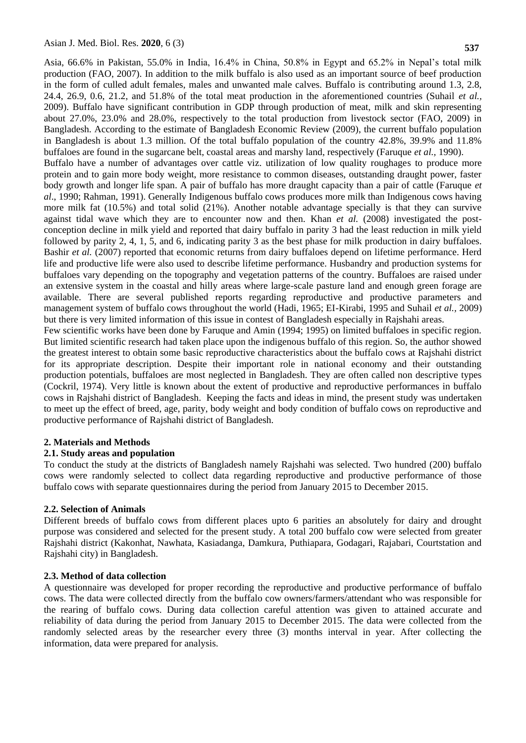Asia, 66.6% in Pakistan, 55.0% in India, 16.4% in China, 50.8% in Egypt and 65.2% in Nepal's total milk production (FAO, 2007). In addition to the milk buffalo is also used as an important source of beef production in the form of culled adult females, males and unwanted male calves. Buffalo is contributing around 1.3, 2.8, 24.4, 26.9, 0.6, 21.2, and 51.8% of the total meat production in the aforementioned countries (Suhail *et al.,*  2009). Buffalo have significant contribution in GDP through production of meat, milk and skin representing about 27.0%, 23.0% and 28.0%, respectively to the total production from livestock sector (FAO, 2009) in Bangladesh. According to the estimate of Bangladesh Economic Review (2009), the current buffalo population in Bangladesh is about 1.3 million. Of the total buffalo population of the country 42.8%, 39.9% and 11.8% buffaloes are found in the sugarcane belt, coastal areas and marshy land, respectively (Faruque *et al.,* 1990). Buffalo have a number of advantages over cattle viz. utilization of low quality roughages to produce more protein and to gain more body weight, more resistance to common diseases, outstanding draught power, faster body growth and longer life span. A pair of buffalo has more draught capacity than a pair of cattle (Faruque *et al*., 1990; Rahman, 1991). Generally Indigenous buffalo cows produces more milk than Indigenous cows having more milk fat (10.5%) and total solid (21%). Another notable advantage specially is that they can survive

against tidal wave which they are to encounter now and then. Khan *et al.* (2008) investigated the postconception decline in milk yield and reported that dairy buffalo in parity 3 had the least reduction in milk yield followed by parity 2, 4, 1, 5, and 6, indicating parity 3 as the best phase for milk production in dairy buffaloes. Bashir *et al.* (2007) reported that economic returns from dairy buffaloes depend on lifetime performance. Herd life and productive life were also used to describe lifetime performance. Husbandry and production systems for buffaloes vary depending on the topography and vegetation patterns of the country. Buffaloes are raised under an extensive system in the coastal and hilly areas where large-scale pasture land and enough green forage are available. There are several published reports regarding reproductive and productive parameters and management system of buffalo cows throughout the world (Hadi, 1965; EI-Kirabi, 1995 and Suhail *et al.,* 2009) but there is very limited information of this issue in contest of Bangladesh especially in Rajshahi areas.

Few scientific works have been done by Faruque and Amin (1994; 1995) on limited buffaloes in specific region. But limited scientific research had taken place upon the indigenous buffalo of this region. So, the author showed the greatest interest to obtain some basic reproductive characteristics about the buffalo cows at Rajshahi district for its appropriate description. Despite their important role in national economy and their outstanding production potentials, buffaloes are most neglected in Bangladesh. They are often called non descriptive types (Cockril, 1974). Very little is known about the extent of productive and reproductive performances in buffalo cows in Rajshahi district of Bangladesh. Keeping the facts and ideas in mind, the present study was undertaken to meet up the effect of breed, age, parity, body weight and body condition of buffalo cows on reproductive and productive performance of Rajshahi district of Bangladesh.

#### **2. Materials and Methods**

#### **2.1. Study areas and population**

To conduct the study at the districts of Bangladesh namely Rajshahi was selected. Two hundred (200) buffalo cows were randomly selected to collect data regarding reproductive and productive performance of those buffalo cows with separate questionnaires during the period from January 2015 to December 2015.

#### **2.2. Selection of Animals**

Different breeds of buffalo cows from different places upto 6 parities an absolutely for dairy and drought purpose was considered and selected for the present study. A total 200 buffalo cow were selected from greater Rajshahi district (Kakonhat, Nawhata, Kasiadanga, Damkura, Puthiapara, Godagari, Rajabari, Courtstation and Rajshahi city) in Bangladesh.

#### **2.3. Method of data collection**

A questionnaire was developed for proper recording the reproductive and productive performance of buffalo cows. The data were collected directly from the buffalo cow owners/farmers/attendant who was responsible for the rearing of buffalo cows. During data collection careful attention was given to attained accurate and reliability of data during the period from January 2015 to December 2015. The data were collected from the randomly selected areas by the researcher every three (3) months interval in year. After collecting the information, data were prepared for analysis.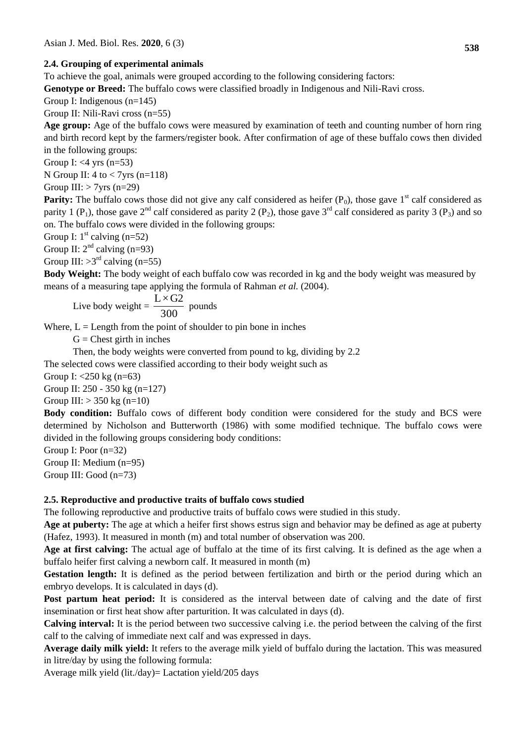### **2.4. Grouping of experimental animals**

To achieve the goal, animals were grouped according to the following considering factors:

**Genotype or Breed:** The buffalo cows were classified broadly in Indigenous and Nili-Ravi cross.

Group I: Indigenous (n=145)

Group II: Nili-Ravi cross (n=55)

**Age group:** Age of the buffalo cows were measured by examination of teeth and counting number of horn ring and birth record kept by the farmers/register book. After confirmation of age of these buffalo cows then divided in the following groups:

Group I:  $<$ 4 yrs (n=53)

N Group II:  $4$  to  $<$  7yrs (n=118)

Group III:  $> 7$ yrs (n=29)

**Parity:** The buffalo cows those did not give any calf considered as heifer  $(P_0)$ , those gave 1<sup>st</sup> calf considered as parity 1 (P<sub>1</sub>), those gave 2<sup>nd</sup> calf considered as parity 2 (P<sub>2</sub>), those gave 3<sup>rd</sup> calf considered as parity 3 (P<sub>3</sub>) and so on. The buffalo cows were divided in the following groups:

Group I:  $1^{\text{st}}$  calving (n=52)

Group II:  $2<sup>nd</sup>$  calving (n=93)

Group III:  $>3^{rd}$  calving (n=55)

**Body Weight:** The body weight of each buffalo cow was recorded in kg and the body weight was measured by means of a measuring tape applying the formula of Rahman *et al.* (2004).

Live body weight = 
$$
\frac{L \times G2}{300}
$$
 pounds

Where,  $L =$  Length from the point of shoulder to pin bone in inches

 $G =$ Chest girth in inches

Then, the body weights were converted from pound to kg, dividing by 2.2

The selected cows were classified according to their body weight such as

Group I: <250 kg (n=63)

Group II: 250 - 350 kg (n=127)

Group III:  $> 350 \text{ kg}$  (n=10)

**Body condition:** Buffalo cows of different body condition were considered for the study and BCS were determined by Nicholson and Butterworth (1986) with some modified technique. The buffalo cows were divided in the following groups considering body conditions:

Group I: Poor (n=32)

Group II: Medium (n=95)

Group III: Good (n=73)

# **2.5. Reproductive and productive traits of buffalo cows studied**

The following reproductive and productive traits of buffalo cows were studied in this study.

**Age at puberty:** The age at which a heifer first shows estrus sign and behavior may be defined as age at puberty (Hafez, 1993). It measured in month (m) and total number of observation was 200.

**Age at first calving:** The actual age of buffalo at the time of its first calving. It is defined as the age when a buffalo heifer first calving a newborn calf. It measured in month (m)

**Gestation length:** It is defined as the period between fertilization and birth or the period during which an embryo develops. It is calculated in days (d).

**Post partum heat period:** It is considered as the interval between date of calving and the date of first insemination or first heat show after parturition. It was calculated in days (d).

**Calving interval:** It is the period between two successive calving i.e. the period between the calving of the first calf to the calving of immediate next calf and was expressed in days.

**Average daily milk yield:** It refers to the average milk yield of buffalo during the lactation. This was measured in litre/day by using the following formula:

Average milk yield (lit./day)= Lactation yield/205 days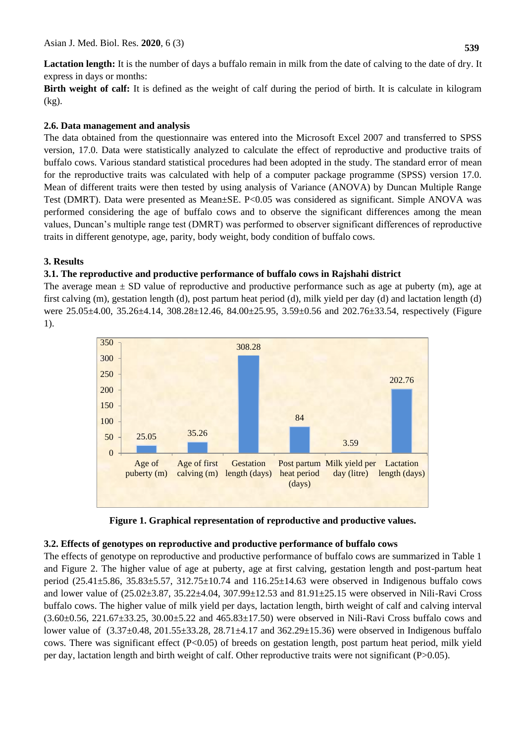Lactation length: It is the number of days a buffalo remain in milk from the date of calving to the date of dry. It express in days or months:

**Birth weight of calf:** It is defined as the weight of calf during the period of birth. It is calculate in kilogram (kg).

# **2.6. Data management and analysis**

The data obtained from the questionnaire was entered into the Microsoft Excel 2007 and transferred to SPSS version, 17.0. Data were statistically analyzed to calculate the effect of reproductive and productive traits of buffalo cows. Various standard statistical procedures had been adopted in the study. The standard error of mean for the reproductive traits was calculated with help of a computer package programme (SPSS) version 17.0. Mean of different traits were then tested by using analysis of Variance (ANOVA) by Duncan Multiple Range Test (DMRT). Data were presented as Mean±SE. P<0.05 was considered as significant. Simple ANOVA was performed considering the age of buffalo cows and to observe the significant differences among the mean values, Duncan's multiple range test (DMRT) was performed to observer significant differences of reproductive traits in different genotype, age, parity, body weight, body condition of buffalo cows.

# **3. Results**

# **3.1. The reproductive and productive performance of buffalo cows in Rajshahi district**

The average mean  $\pm$  SD value of reproductive and productive performance such as age at puberty (m), age at first calving (m), gestation length (d), post partum heat period (d), milk yield per day (d) and lactation length (d) were 25.05±4.00, 35.26±4.14, 308.28±12.46, 84.00±25.95, 3.59±0.56 and 202.76±33.54, respectively (Figure 1).



**Figure 1. Graphical representation of reproductive and productive values.**

# **3.2. Effects of genotypes on reproductive and productive performance of buffalo cows**

The effects of genotype on reproductive and productive performance of buffalo cows are summarized in Table 1 and Figure 2. The higher value of age at puberty, age at first calving, gestation length and post-partum heat period (25.41 $\pm$ 5.86, 35.83 $\pm$ 5.57, 312.75 $\pm$ 10.74 and 116.25 $\pm$ 14.63 were observed in Indigenous buffalo cows and lower value of (25.02±3.87, 35.22±4.04, 307.99±12.53 and 81.91±25.15 were observed in Nili-Ravi Cross buffalo cows. The higher value of milk yield per days, lactation length, birth weight of calf and calving interval (3.60±0.56, 221.67±33.25, 30.00±5.22 and 465.83±17.50) were observed in Nili-Ravi Cross buffalo cows and lower value of (3.37±0.48, 201.55±33.28, 28.71±4.17 and 362.29±15.36) were observed in Indigenous buffalo cows. There was significant effect (P<0.05) of breeds on gestation length, post partum heat period, milk yield per day, lactation length and birth weight of calf. Other reproductive traits were not significant (P>0.05).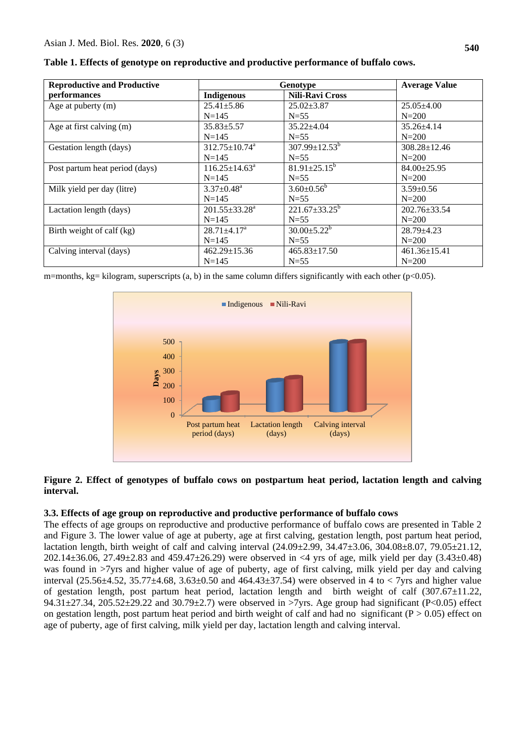| <b>Reproductive and Productive</b> |                              | Genotype                        | <b>Average Value</b> |
|------------------------------------|------------------------------|---------------------------------|----------------------|
| performances                       | <b>Indigenous</b>            | <b>Nili-Ravi Cross</b>          |                      |
| Age at puberty (m)                 | $25.41 \pm 5.86$             | $25.02 \pm 3.87$                | $25.05\pm4.00$       |
|                                    | $N = 145$                    | $N=55$                          | $N = 200$            |
| Age at first calving (m)           | $35.83 \pm 5.57$             | $35.22 + 4.04$                  | $35.26 + 4.14$       |
|                                    | $N = 145$                    | $N=55$                          | $N = 200$            |
| Gestation length (days)            | $312.75 \pm 10.74^a$         | $307.99 \pm 12.53^{\mathrm{b}}$ | $308.28 \pm 12.46$   |
|                                    | $N = 145$                    | $N=55$                          | $N = 200$            |
| Post partum heat period (days)     | $116.25 \pm 14.63^a$         | $81.91 \pm 25.15^b$             | $84.00 \pm 25.95$    |
|                                    | $N = 145$                    | $N=55$                          | $N = 200$            |
| Milk yield per day (litre)         | $3.37 \pm 0.48$ <sup>a</sup> | $3.60 \pm 0.56^b$               | $3.59 \pm 0.56$      |
|                                    | $N = 145$                    | $N=55$                          | $N = 200$            |
| Lactation length (days)            | $201.55 \pm 33.28^a$         | $221.67 \pm 33.25^b$            | $202.76 \pm 33.54$   |
|                                    | $N = 145$                    | $N=55$                          | $N = 200$            |
| Birth weight of calf (kg)          | $28.71 \pm 4.17^{\text{a}}$  | $30.00 \pm 5.22^b$              | $28.79 \pm 4.23$     |
|                                    | $N = 145$                    | $N=55$                          | $N = 200$            |
| Calving interval (days)            | $462.29 \pm 15.36$           | $465.83 \pm 17.50$              | $461.36 \pm 15.41$   |
|                                    | $N = 145$                    | $N=55$                          | $N = 200$            |

**Table 1. Effects of genotype on reproductive and productive performance of buffalo cows.**

m=months, kg= kilogram, superscripts (a, b) in the same column differs significantly with each other (p<0.05).



### **Figure 2. Effect of genotypes of buffalo cows on postpartum heat period, lactation length and calving interval.**

# **3.3. Effects of age group on reproductive and productive performance of buffalo cows**

The effects of age groups on reproductive and productive performance of buffalo cows are presented in Table 2 and Figure 3. The lower value of age at puberty, age at first calving, gestation length, post partum heat period, lactation length, birth weight of calf and calving interval  $(24.09 \pm 2.99, 34.47 \pm 3.06, 304.08 \pm 8.07, 79.05 \pm 21.12,$ 202.14 $\pm$ 36.06, 27.49 $\pm$ 2.83 and 459.47 $\pm$ 26.29) were observed in <4 yrs of age, milk yield per day (3.43 $\pm$ 0.48) was found in >7yrs and higher value of age of puberty, age of first calving, milk yield per day and calving interval (25.56 $\pm$ 4.52, 35.77 $\pm$ 4.68, 3.63 $\pm$ 0.50 and 464.43 $\pm$ 37.54) were observed in 4 to < 7yrs and higher value of gestation length, post partum heat period, lactation length and birth weight of calf (307.67±11.22, 94.31±27.34, 205.52±29.22 and 30.79±2.7) were observed in >7yrs. Age group had significant (P<0.05) effect on gestation length, post partum heat period and birth weight of calf and had no significant ( $P > 0.05$ ) effect on age of puberty, age of first calving, milk yield per day, lactation length and calving interval.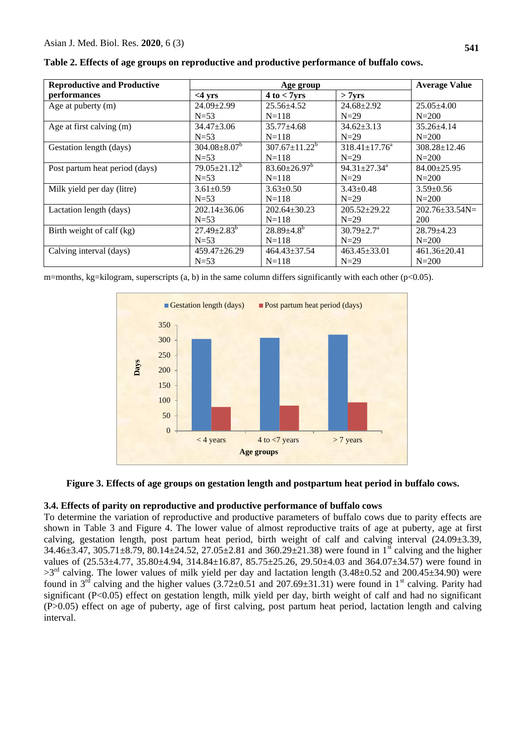| <b>Reproductive and Productive</b> | Age group           |                      |                            | <b>Average Value</b>   |
|------------------------------------|---------------------|----------------------|----------------------------|------------------------|
| performances                       | $<$ 4 yrs           | $4t_0 < 7yrs$        | > 7yrs                     |                        |
| Age at puberty (m)                 | $24.09 \pm 2.99$    | $25.56 \pm 4.52$     | $24.68 \pm 2.92$           | $25.05 + 4.00$         |
|                                    | $N=53$              | $N = 118$            | $N=29$                     | $N = 200$              |
| Age at first calving (m)           | $34.47 + 3.06$      | $35.77 + 4.68$       | $34.62 \pm 3.13$           | $35.26 + 4.14$         |
|                                    | $N=53$              | $N = 118$            | $N=29$                     | $N = 200$              |
| Gestation length (days)            | $304.08 \pm 8.07^b$ | $307.67 \pm 11.22^b$ | $318.41 \pm 17.76^a$       | $308.28 \pm 12.46$     |
|                                    | $N=53$              | $N = 118$            | $N=29$                     | $N = 200$              |
| Post partum heat period (days)     | $79.05 \pm 21.12^b$ | $83.60 \pm 26.97^b$  | $94.31 \pm 27.34^a$        | $84.00 \pm 25.95$      |
|                                    | $N=53$              | $N = 118$            | $N=29$                     | $N = 200$              |
| Milk yield per day (litre)         | $3.61 \pm 0.59$     | $3.63 \pm 0.50$      | $3.43 \pm 0.48$            | $3.59 \pm 0.56$        |
|                                    | $N=53$              | $N = 118$            | $N=29$                     | $N = 200$              |
| Lactation length (days)            | $202.14 \pm 36.06$  | $202.64 \pm 30.23$   | $205.52 \pm 29.22$         | $202.76 \pm 33.54 N =$ |
|                                    | $N=53$              | $N = 118$            | $N=29$                     | 200                    |
| Birth weight of calf (kg)          | $27.49 \pm 2.83^b$  | $28.89{\pm}4.8^{b}$  | $30.79 \pm 2.7^{\text{a}}$ | $28.79 \pm 4.23$       |
|                                    | $N=53$              | $N = 118$            | $N=29$                     | $N = 200$              |
| Calving interval (days)            | $459.47 \pm 26.29$  | $464.43 \pm 37.54$   | $463.45 \pm 33.01$         | $461.36 \pm 20.41$     |
|                                    | $N=53$              | $N = 118$            | $N=29$                     | $N = 200$              |

**Table 2. Effects of age groups on reproductive and productive performance of buffalo cows.**

m=months, kg=kilogram, superscripts (a, b) in the same column differs significantly with each other (p<0.05).



**Figure 3. Effects of age groups on gestation length and postpartum heat period in buffalo cows.**

# **3.4. Effects of parity on reproductive and productive performance of buffalo cows**

To determine the variation of reproductive and productive parameters of buffalo cows due to parity effects are shown in Table 3 and Figure 4. The lower value of almost reproductive traits of age at puberty, age at first calving, gestation length, post partum heat period, birth weight of calf and calving interval (24.09±3.39, 34.46 $\pm$ 3.47, 305.71 $\pm$ 8.79, 80.14 $\pm$ 24.52, 27.05 $\pm$ 2.81 and 360.29 $\pm$ 21.38) were found in 1<sup>st</sup> calving and the higher values of (25.53±4.77, 35.80±4.94, 314.84±16.87, 85.75±25.26, 29.50±4.03 and 364.07±34.57) were found in  $>3^{rd}$  calving. The lower values of milk yield per day and lactation length (3.48±0.52 and 200.45±34.90) were found in  $3^{rd}$  calving and the higher values (3.72±0.51 and 207.69±31.31) were found in 1<sup>st</sup> calving. Parity had significant (P<0.05) effect on gestation length, milk yield per day, birth weight of calf and had no significant (P>0.05) effect on age of puberty, age of first calving, post partum heat period, lactation length and calving interval.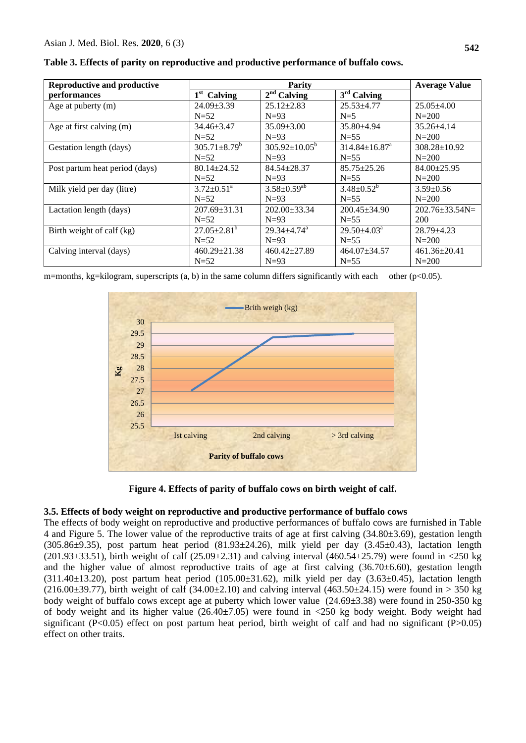| <b>Reproductive and productive</b> | <b>Parity</b>                |                               |                                 | <b>Average Value</b>   |
|------------------------------------|------------------------------|-------------------------------|---------------------------------|------------------------|
| performances                       | $1st$ Calving                | $2nd$ Calving                 | $3rd$ Calving                   |                        |
| Age at puberty (m)                 | $24.09 \pm 3.39$             | $25.12 \pm 2.83$              | $25.53 \pm 4.77$                | $25.05 \pm 4.00$       |
|                                    | $N=52$                       | $N=93$                        | $N=5$                           | $N = 200$              |
| Age at first calving (m)           | $34.46 \pm 3.47$             | $35.09 \pm 3.00$              | 35.80±4.94                      | $35.26 + 4.14$         |
|                                    | $N=52$                       | $N=93$                        | $N=55$                          | $N = 200$              |
| Gestation length (days)            | $305.71 \pm 8.79^b$          | $305.92 \pm 10.05^{\circ}$    | $314.84 \pm 16.87$ <sup>a</sup> | $308.28 \pm 10.92$     |
|                                    | $N=52$                       | $N=93$                        | $N=55$                          | $N = 200$              |
| Post partum heat period (days)     | $80.14 \pm 24.52$            | $84.54 \pm 28.37$             | $85.75 \pm 25.26$               | $84.00 \pm 25.95$      |
|                                    | $N=52$                       | $N=93$                        | $N=55$                          | $N = 200$              |
| Milk yield per day (litre)         | $3.72 \pm 0.51$ <sup>a</sup> | $3.58 \pm 0.59$ <sup>ab</sup> | $3.48 \pm 0.52^b$               | $3.59 \pm 0.56$        |
|                                    | $N=52$                       | $N=93$                        | $N=55$                          | $N = 200$              |
| Lactation length (days)            | $207.69 \pm 31.31$           | $202.00 \pm 33.34$            | $200.45 \pm 34.90$              | $202.76 \pm 33.54 N =$ |
|                                    | $N=52$                       | $N=93$                        | $N=55$                          | 200                    |
| Birth weight of calf (kg)          | $27.05 \pm 2.81^b$           | $29.34 + 4.74$ <sup>a</sup>   | $29.50 \pm 4.03^{\text{a}}$     | $28.79 + 4.23$         |
|                                    | $N=52$                       | $N=93$                        | $N=55$                          | $N = 200$              |
| Calving interval (days)            | $460.29 \pm 21.38$           | $460.42 \pm 27.89$            | $464.07 \pm 34.57$              | $461.36 \pm 20.41$     |
|                                    | $N=52$                       | $N=93$                        | $N=55$                          | $N = 200$              |

**Table 3. Effects of parity on reproductive and productive performance of buffalo cows.**

m=months, kg=kilogram, superscripts (a, b) in the same column differs significantly with each other (p<0.05).



**Figure 4. Effects of parity of buffalo cows on birth weight of calf.**

# **3.5. Effects of body weight on reproductive and productive performance of buffalo cows**

The effects of body weight on reproductive and productive performances of buffalo cows are furnished in Table 4 and Figure 5. The lower value of the reproductive traits of age at first calving (34.80±3.69), gestation length (305.86 $\pm$ 9.35), post partum heat period (81.93 $\pm$ 24.26), milk yield per day (3.45 $\pm$ 0.43), lactation length (201.93 $\pm$ 33.51), birth weight of calf (25.09 $\pm$ 2.31) and calving interval (460.54 $\pm$ 25.79) were found in <250 kg and the higher value of almost reproductive traits of age at first calving  $(36.70\pm6.60)$ , gestation length (311.40 $\pm$ 13.20), post partum heat period (105.00 $\pm$ 31.62), milk yield per day (3.63 $\pm$ 0.45), lactation length (216.00 $\pm$ 39.77), birth weight of calf (34.00 $\pm$ 2.10) and calving interval (463.50 $\pm$ 24.15) were found in > 350 kg body weight of buffalo cows except age at puberty which lower value (24.69±3.38) were found in 250-350 kg of body weight and its higher value (26.40±7.05) were found in <250 kg body weight. Body weight had significant (P<0.05) effect on post partum heat period, birth weight of calf and had no significant (P>0.05) effect on other traits.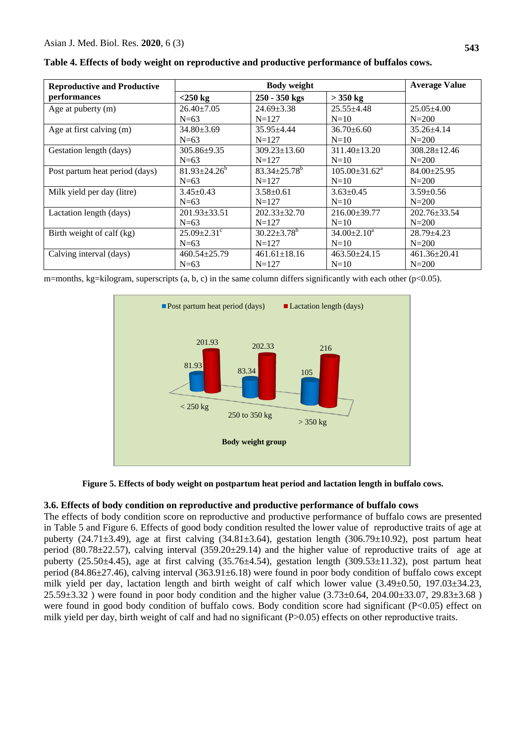| <b>Reproductive and Productive</b> |                               | <b>Average Value</b>    |                               |                    |
|------------------------------------|-------------------------------|-------------------------|-------------------------------|--------------------|
| performances                       | $<$ 250 kg                    | 250 - 350 kgs           | $>$ 350 kg                    |                    |
| Age at puberty (m)                 | $26.40 \pm 7.05$              | $24.69 \pm 3.38$        | $25.55 + 4.48$                | $25.05 \pm 4.00$   |
|                                    | $N=63$                        | $N = 127$               | $N=10$                        | $N = 200$          |
| Age at first calving (m)           | $34.80 \pm 3.69$              | $35.95 + 4.44$          | $36.70 \pm 6.60$              | $35.26 + 4.14$     |
|                                    | $N=63$                        | $N = 127$               | $N=10$                        | $N = 200$          |
| Gestation length (days)            | 305.86±9.35                   | $309.23 \pm 13.60$      | $311.40 \pm 13.20$            | $308.28 \pm 12.46$ |
|                                    | $N=63$                        | $N = 127$               | $N=10$                        | $N = 200$          |
| Post partum heat period (days)     | $81.93 \pm 24.26^b$           | $83.34 + 25.78^{\circ}$ | $105.00 \pm 31.62^{\text{a}}$ | $84.00 \pm 25.95$  |
|                                    | $N=63$                        | $N = 127$               | $N=10$                        | $N = 200$          |
| Milk yield per day (litre)         | $3.45 \pm 0.43$               | $3.58 \pm 0.61$         | $3.63 \pm 0.45$               | $3.59 \pm 0.56$    |
|                                    | $N=63$                        | $N = 127$               | $N=10$                        | $N = 200$          |
| Lactation length (days)            | $201.93 \pm 33.51$            | $202.33 \pm 32.70$      | $216.00\pm39.77$              | $202.76 \pm 33.54$ |
|                                    | $N=63$                        | $N=127$                 | $N=10$                        | $N = 200$          |
| Birth weight of calf (kg)          | $25.09 \pm 2.31$ <sup>c</sup> | $30.22 \pm 3.78^b$      | $34.00 \pm 2.10^a$            | $28.79 \pm 4.23$   |
|                                    | $N=63$                        | $N = 127$               | $N=10$                        | $N = 200$          |
| Calving interval (days)            | $460.54 \pm 25.79$            | $461.61 \pm 18.16$      | $463.50 \pm 24.15$            | $461.36 \pm 20.41$ |
|                                    | $N=63$                        | $N = 127$               | $N=10$                        | $N = 200$          |

**Table 4. Effects of body weight on reproductive and productive performance of buffalos cows.**

m=months, kg=kilogram, superscripts  $(a, b, c)$  in the same column differs significantly with each other (p<0.05).



**Figure 5. Effects of body weight on postpartum heat period and lactation length in buffalo cows.**

# **3.6. Effects of body condition on reproductive and productive performance of buffalo cows**

The effects of body condition score on reproductive and productive performance of buffalo cows are presented in Table 5 and Figure 6. Effects of good body condition resulted the lower value of reproductive traits of age at puberty (24.71 $\pm$ 3.49), age at first calving (34.81 $\pm$ 3.64), gestation length (306.79 $\pm$ 10.92), post partum heat period (80.78 $\pm$ 22.57), calving interval (359.20 $\pm$ 29.14) and the higher value of reproductive traits of age at puberty (25.50±4.45), age at first calving (35.76±4.54), gestation length (309.53±11.32), post partum heat period (84.86±27.46), calving interval (363.91±6.18) were found in poor body condition of buffalo cows except milk yield per day, lactation length and birth weight of calf which lower value (3.49±0.50, 197.03±34.23, 25.59±3.32 ) were found in poor body condition and the higher value (3.73±0.64, 204.00±33.07, 29.83±3.68 ) were found in good body condition of buffalo cows. Body condition score had significant (P<0.05) effect on milk yield per day, birth weight of calf and had no significant (P>0.05) effects on other reproductive traits.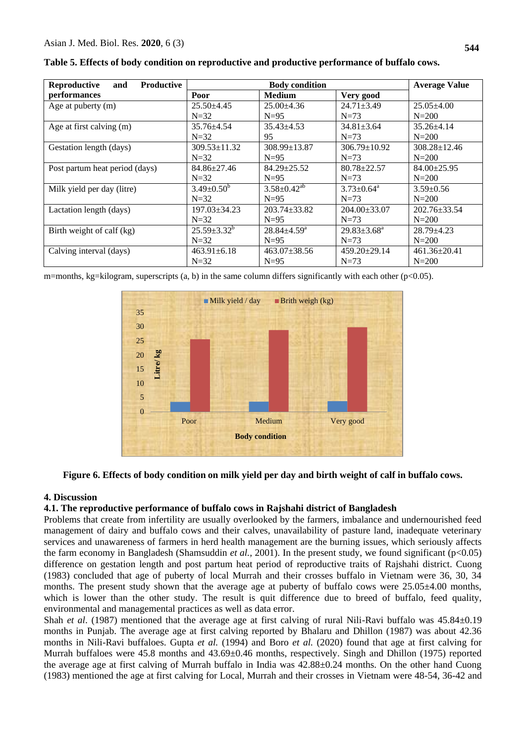| Reproductive<br><b>Productive</b><br>and | <b>Body condition</b> |                               |                            | <b>Average Value</b> |
|------------------------------------------|-----------------------|-------------------------------|----------------------------|----------------------|
| performances                             | Poor                  | <b>Medium</b>                 | Very good                  |                      |
| Age at puberty (m)                       | $25.50 \pm 4.45$      | $25.00\pm4.36$                | $24.71 \pm 3.49$           | $25.05\pm4.00$       |
|                                          | $N=32$                | $N=95$                        | $N=73$                     | $N = 200$            |
| Age at first calving (m)                 | $35.76 \pm 4.54$      | $35.43 + 4.53$                | $34.81 \pm 3.64$           | $35.26 + 4.14$       |
|                                          | $N=32$                | 95                            | $N=73$                     | $N = 200$            |
| Gestation length (days)                  | $309.53 \pm 11.32$    | $308.99 \pm 13.87$            | $306.79 \pm 10.92$         | $308.28 \pm 12.46$   |
|                                          | $N=32$                | $N=95$                        | $N=73$                     | $N = 200$            |
| Post partum heat period (days)           | $84.86 \pm 27.46$     | $84.29 \pm 25.52$             | $80.78 \pm 22.57$          | $84.00 \pm 25.95$    |
|                                          | $N=32$                | $N=95$                        | $N=73$                     | $N = 200$            |
| Milk yield per day (litre)               | $3.49 \pm 0.50^b$     | $3.58 \pm 0.42$ <sup>ab</sup> | $3.73 \pm 0.64^{\text{a}}$ | $3.59 \pm 0.56$      |
|                                          | $N=32$                | $N=95$                        | $N=73$                     | $N = 200$            |
| Lactation length (days)                  | $197.03 \pm 34.23$    | $203.74 \pm 33.82$            | $204.00 \pm 33.07$         | $202.76 \pm 33.54$   |
|                                          | $N=32$                | $N=95$                        | $N=73$                     | $N = 200$            |
| Birth weight of calf (kg)                | $25.59 \pm 3.32^b$    | $28.84 \pm 4.59$ <sup>a</sup> | $29.83 \pm 3.68^a$         | $28.79 \pm 4.23$     |
|                                          | $N=32$                | $N=95$                        | $N=73$                     | $N = 200$            |
| Calving interval (days)                  | $463.91 \pm 6.18$     | $463.07 \pm 38.56$            | $459.20 \pm 29.14$         | $461.36 \pm 20.41$   |
|                                          | $N=32$                | $N=95$                        | $N=73$                     | $N = 200$            |

**Table 5. Effects of body condition on reproductive and productive performance of buffalo cows.**

m=months, kg=kilogram, superscripts  $(a, b)$  in the same column differs significantly with each other (p<0.05).



# **Figure 6. Effects of body condition on milk yield per day and birth weight of calf in buffalo cows.**

### **4. Discussion**

### **4.1. The reproductive performance of buffalo cows in Rajshahi district of Bangladesh**

Problems that create from infertility are usually overlooked by the farmers, imbalance and undernourished feed management of dairy and buffalo cows and their calves, unavailability of pasture land, inadequate veterinary services and unawareness of farmers in herd health management are the burning issues, which seriously affects the farm economy in Bangladesh (Shamsuddin *et al.,* 2001). In the present study, we found significant (p<0.05) difference on gestation length and post partum heat period of reproductive traits of Rajshahi district. Cuong (1983) concluded that age of puberty of local Murrah and their crosses buffalo in Vietnam were 36, 30, 34 months. The present study shown that the average age at puberty of buffalo cows were  $25.05\pm4.00$  months, which is lower than the other study. The result is quit difference due to breed of buffalo, feed quality, environmental and managemental practices as well as data error.

Shah *et al.* (1987) mentioned that the average age at first calving of rural Nili-Ravi buffalo was  $45.84 \pm 0.19$ months in Punjab. The average age at first calving reported by Bhalaru and Dhillon (1987) was about 42.36 months in Nili-Ravi buffaloes. Gupta *et al.* (1994) and Boro *et al.* (2020) found that age at first calving for Murrah buffaloes were 45.8 months and 43.69±0.46 months, respectively. Singh and Dhillon (1975) reported the average age at first calving of Murrah buffalo in India was 42.88±0.24 months. On the other hand Cuong (1983) mentioned the age at first calving for Local, Murrah and their crosses in Vietnam were 48-54, 36-42 and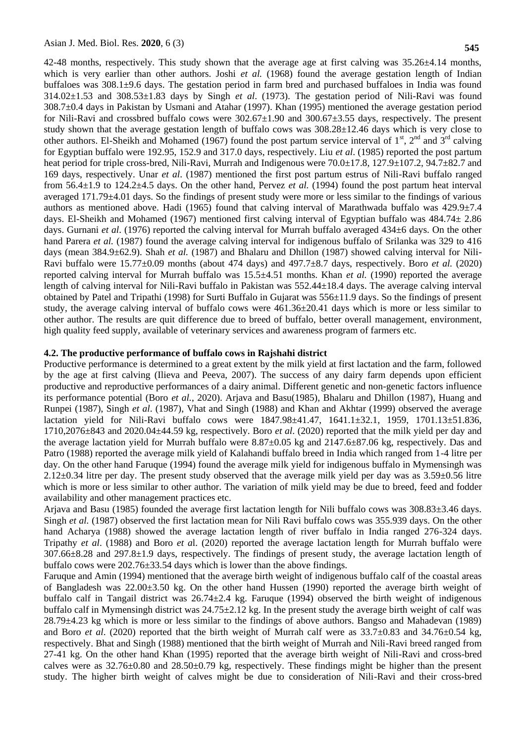42-48 months, respectively. This study shown that the average age at first calving was  $35.26\pm4.14$  months, which is very earlier than other authors. Joshi *et al.* (1968) found the average gestation length of Indian buffaloes was 308.1±9.6 days. The gestation period in farm bred and purchased buffaloes in India was found 314.02±1.53 and 308.53±1.83 days by Singh *et al*. (1973). The gestation period of Nili-Ravi was found 308.7±0.4 days in Pakistan by Usmani and Atahar (1997). Khan (1995) mentioned the average gestation period for Nili-Ravi and crossbred buffalo cows were  $302.67\pm1.90$  and  $300.67\pm3.55$  days, respectively. The present study shown that the average gestation length of buffalo cows was 308.28±12.46 days which is very close to other authors. El-Sheikh and Mohamed (1967) found the post partum service interval of  $1<sup>st</sup>$ ,  $2<sup>nd</sup>$  and  $3<sup>rd</sup>$  calving for Egyptian buffalo were 192.95, 152.9 and 317.0 days, respectively. Liu *et al*. (1985) reported the post partum heat period for triple cross-bred, Nili-Ravi, Murrah and Indigenous were  $70.0\pm17.8$ ,  $127.9\pm107.2$ ,  $94.7\pm82.7$  and 169 days, respectively. Unar *et al*. (1987) mentioned the first post partum estrus of Nili-Ravi buffalo ranged from 56.4±1.9 to 124.2±4.5 days. On the other hand, Pervez *et al.* (1994) found the post partum heat interval averaged 171.79±4.01 days. So the findings of present study were more or less similar to the findings of various authors as mentioned above. Hadi (1965) found that calving interval of Marathwada buffalo was  $429.9\pm7.4$ days. El-Sheikh and Mohamed (1967) mentioned first calving interval of Egyptian buffalo was  $484.74 \pm 2.86$ days. Gurnani *et al*. (1976) reported the calving interval for Murrah buffalo averaged 434±6 days. On the other hand Parera *et al.* (1987) found the average calving interval for indigenous buffalo of Srilanka was 329 to 416 days (mean 384.9±62.9). Shah *et al.* (1987) and Bhalaru and Dhillon (1987) showed calving interval for Nili-Ravi buffalo were 15.77±0.09 months (about 474 days) and 497.7±8.7 days, respectively. Boro *et al.* (2020) reported calving interval for Murrah buffalo was 15.5±4.51 months. Khan *et al.* (1990) reported the average length of calving interval for Nili-Ravi buffalo in Pakistan was 552.44±18.4 days. The average calving interval obtained by Patel and Tripathi (1998) for Surti Buffalo in Gujarat was 556±11.9 days. So the findings of present study, the average calving interval of buffalo cows were 461.36±20.41 days which is more or less similar to other author. The results are quit difference due to breed of buffalo, better overall management, environment, high quality feed supply, available of veterinary services and awareness program of farmers etc.

### **4.2. The productive performance of buffalo cows in Rajshahi district**

Productive performance is determined to a great extent by the milk yield at first lactation and the farm, followed by the age at first calving (Ilieva and Peeva, 2007). The success of any dairy farm depends upon efficient productive and reproductive performances of a dairy animal. Different genetic and non-genetic factors influence its performance potential (Boro *et al.*, 2020). Arjava and Basu(1985), Bhalaru and Dhillon (1987), Huang and Runpei (1987), Singh *et al*. (1987), Vhat and Singh (1988) and Khan and Akhtar (1999) observed the average lactation yield for Nili-Ravi buffalo cows were 1847.98±41.47, 1641.1±32.1, 1959, 1701.13±51.836, 1710,2076±843 and 2020.04±44.59 kg, respectively. Boro *et al*. (2020) reported that the milk yield per day and the average lactation yield for Murrah buffalo were 8.87±0.05 kg and 2147.6±87.06 kg, respectively. Das and Patro (1988) reported the average milk yield of Kalahandi buffalo breed in India which ranged from 1-4 litre per day. On the other hand Faruque (1994) found the average milk yield for indigenous buffalo in Mymensingh was 2.12±0.34 litre per day. The present study observed that the average milk yield per day was as 3.59±0.56 litre which is more or less similar to other author. The variation of milk yield may be due to breed, feed and fodder availability and other management practices etc.

Arjava and Basu (1985) founded the average first lactation length for Nili buffalo cows was 308.83±3.46 days. Singh *et al.* (1987) observed the first lactation mean for Nili Ravi buffalo cows was 355.939 days. On the other hand Acharya (1988) showed the average lactation length of river buffalo in India ranged 276-324 days. Tripathy *et al*. (1988) and Boro *et a*l. (2020) reported the average lactation length for Murrah buffalo were 307.66±8.28 and 297.8±1.9 days, respectively. The findings of present study, the average lactation length of buffalo cows were 202.76±33.54 days which is lower than the above findings.

Faruque and Amin (1994) mentioned that the average birth weight of indigenous buffalo calf of the coastal areas of Bangladesh was 22.00±3.50 kg. On the other hand Hussen (1990) reported the average birth weight of buffalo calf in Tangail district was 26.74±2.4 kg. Faruque (1994) observed the birth weight of indigenous buffalo calf in Mymensingh district was  $24.75\pm2.12$  kg. In the present study the average birth weight of calf was 28.79±4.23 kg which is more or less similar to the findings of above authors. Bangso and Mahadevan (1989) and Boro *et al.* (2020) reported that the birth weight of Murrah calf were as  $33.7\pm0.83$  and  $34.76\pm0.54$  kg, respectively. Bhat and Singh (1988) mentioned that the birth weight of Murrah and Nili-Ravi breed ranged from 27-41 kg. On the other hand Khan (1995) reported that the average birth weight of Nili-Ravi and cross-bred calves were as  $32.76\pm0.80$  and  $28.50\pm0.79$  kg, respectively. These findings might be higher than the present study. The higher birth weight of calves might be due to consideration of Nili-Ravi and their cross-bred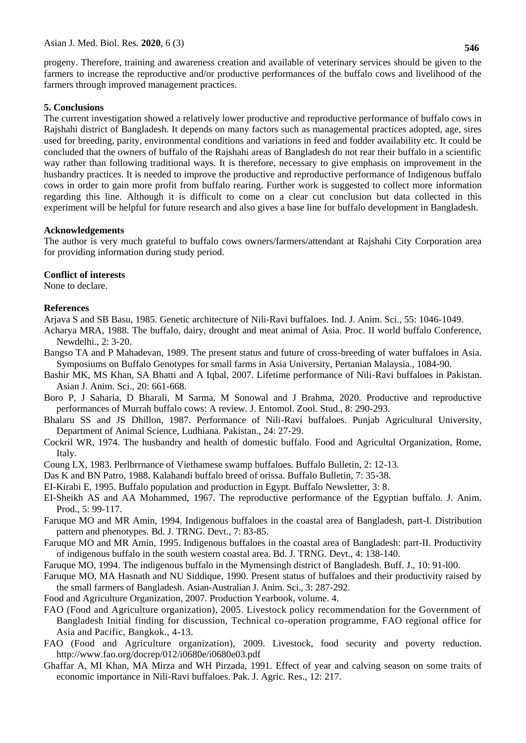progeny. Therefore, training and awareness creation and available of veterinary services should be given to the farmers to increase the reproductive and/or productive performances of the buffalo cows and livelihood of the farmers through improved management practices.

#### **5. Conclusions**

The current investigation showed a relatively lower productive and reproductive performance of buffalo cows in Rajshahi district of Bangladesh. It depends on many factors such as managemental practices adopted, age, sires used for breeding, parity, environmental conditions and variations in feed and fodder availability etc. It could be concluded that the owners of buffalo of the Rajshahi areas of Bangladesh do not rear their buffalo in a scientific way rather than following traditional ways. It is therefore, necessary to give emphasis on improvement in the husbandry practices. It is needed to improve the productive and reproductive performance of Indigenous buffalo cows in order to gain more profit from buffalo rearing. Further work is suggested to collect more information regarding this line. Although it is difficult to come on a clear cut conclusion but data collected in this experiment will be helpful for future research and also gives a base line for buffalo development in Bangladesh.

#### **Acknowledgements**

The author is very much grateful to buffalo cows owners/farmers/attendant at Rajshahi City Corporation area for providing information during study period.

#### **Conflict of interests**

None to declare.

#### **References**

Arjava S and SB Basu, 1985. Genetic architecture of Nili-Ravi buffaloes. Ind. J. Anim. Sci., 55: 1046-1049.

Acharya MRA, 1988. The buffalo, dairy, drought and meat animal of Asia. Proc. II world buffalo Conference, Newdelhi., 2: 3-20.

- Bangso TA and P Mahadevan, 1989. The present status and future of cross-breeding of water buffaloes in Asia. Symposiums on Buffalo Genotypes for small farms in Asia University, Pertanian Malaysia., 1084-90.
- Bashir MK, MS Khan, SA Bhatti and A Iqbal, 2007. Lifetime performance of Nili-Ravi buffaloes in Pakistan. Asian J. Anim. Sci., 20: 661-668.
- Boro P, J Saharia, D Bharali, M Sarma, M Sonowal and J Brahma, 2020. Productive and reproductive performances of Murrah buffalo cows: A review. J. Entomol. Zool. Stud., 8: 290-293.
- Bhalaru SS and JS Dhillon, 1987. Performance of Nili-Ravi buffaloes. Punjab Agricultural University, Department of Animal Science, Ludhiana. Pakistan., 24: 27-29.
- Cockril WR, 1974. The husbandry and health of domestic buffalo. Food and Agricultal Organization, Rome, Italy.
- Coung LX, 1983. Perlbrrnance of Viethamese swamp buffaloes. Buffalo Bulletin, 2: 12-13.
- Das K and BN Patro, 1988. Kalahandi buffalo breed of orissa. Buffalo Bulletin, 7: 35-38.
- EI-Kirabi E, 1995. Buffalo population and production in Egypt. Buffalo Newsletter, 3: 8.
- EI-Sheikh AS and AA Mohammed, 1967. The reproductive performance of the Egyptian buffalo. J. Anim. Prod., 5: 99-117.
- Faruque MO and MR Amin, 1994. Indigenous buffaloes in the coastal area of Bangladesh, part-I. Distribution pattern and phenotypes. Bd. J. TRNG. Devt., 7: 83-85.
- Faruque MO and MR Amin, 1995. Indigenous buffaloes in the coastal area of Bangladesh: part-II. Productivity of indigenous buffalo in the south western coastal area. Bd. J. TRNG. Devt., 4: 138-140.
- Faruque MO, 1994. The indigenous buffalo in the Mymensingh district of Bangladesh. Buff. J., 10: 91-l00.
- Faruque MO, MA Hasnath and NU Siddique, 1990. Present status of buffaloes and their productivity raised by the small farmers of Bangladesh. Asian-Australian J. Anim. Sci., 3: 287-292.
- Food and Agriculture Organization, 2007. Production Yearbook, volume. 4.
- FAO (Food and Agriculture organization), 2005. Livestock policy recommendation for the Government of Bangladesh Initial finding for discussion, Technical co-operation programme, FAO regional office for Asia and Pacific, Bangkok., 4-13.
- FAO (Food and Agriculture organization), 2009. Livestock, food security and poverty reduction. http://www.fao.org/docrep/012/i0680e/i0680e03.pdf
- Ghaffar A, MI Khan, MA Mirza and WH Pirzada, 1991. Effect of year and calving season on some traits of economic importance in Nili-Ravi buffaloes. Pak. J. Agric. Res., 12: 217.